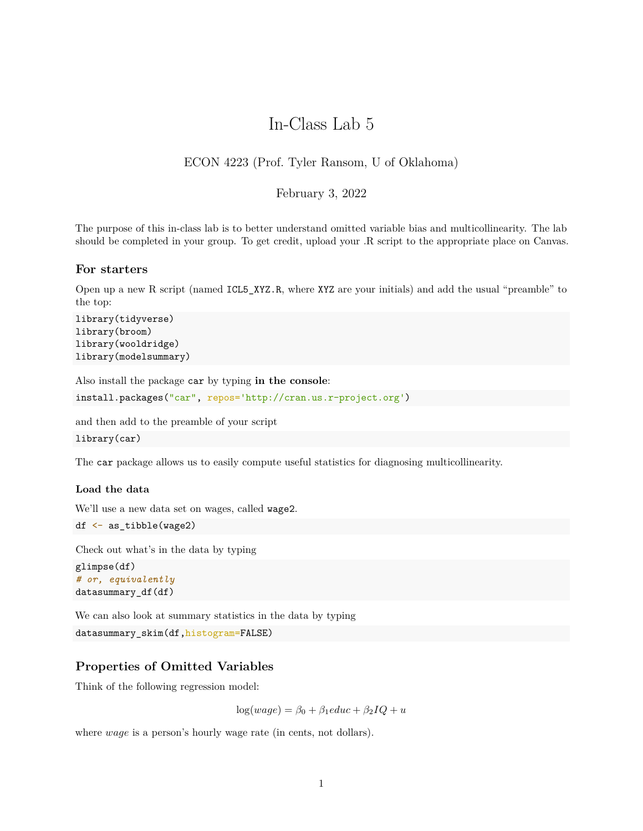# In-Class Lab 5

## ECON 4223 (Prof. Tyler Ransom, U of Oklahoma)

## February 3, 2022

The purpose of this in-class lab is to better understand omitted variable bias and multicollinearity. The lab should be completed in your group. To get credit, upload your .R script to the appropriate place on Canvas.

#### **For starters**

Open up a new R script (named ICL5\_XYZ.R, where XYZ are your initials) and add the usual "preamble" to the top:

```
library(tidyverse)
library(broom)
library(wooldridge)
library(modelsummary)
```
Also install the package car by typing **in the console**:

```
install.packages("car", repos='http://cran.us.r-project.org')
```
and then add to the preamble of your script

```
library(car)
```
The car package allows us to easily compute useful statistics for diagnosing multicollinearity.

#### **Load the data**

We'll use a new data set on wages, called wage2.

```
df <- as_tibble(wage2)
```
Check out what's in the data by typing

```
glimpse(df)
# or, equivalently
datasummary_df(df)
```
We can also look at summary statistics in the data by typing

```
datasummary_skim(df,histogram=FALSE)
```
## **Properties of Omitted Variables**

Think of the following regression model:

 $\log(wage) = \beta_0 + \beta_1educ + \beta_2IQ + u$ 

where *wage* is a person's hourly wage rate (in cents, not dollars).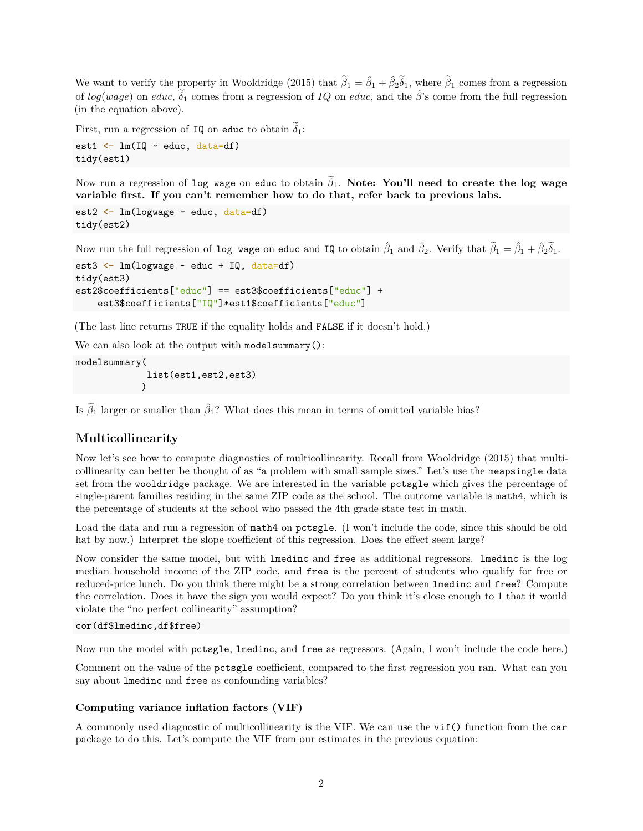We want to verify the property in Wooldridge (2015) that  $\tilde{\beta}_1 = \hat{\beta}_1 + \hat{\beta}_2 \tilde{\delta}_1$ , where  $\tilde{\beta}_1$  comes from a regression of  $log(wage)$  on *educ*,  $\delta_1$  comes from a regression of *IQ* on *educ*, and the  $\hat{\beta}$ 's come from the full regression (in the equation above).

First, run a regression of IQ on educ to obtain  $\delta_1$ :

```
est1 \leftarrow lm(IQ \sim educ, data=df)
tidy(est1)
```
Now run a regression of log wage on educ to obtain  $\tilde{\beta}_1$ . Note: You'll need to create the log wage **variable first. If you can't remember how to do that, refer back to previous labs.**

```
est2 <- lm(logwage ~ educ, data=df)
tidy(est2)
```
Now run the full regression of log wage on educ and IQ to obtain  $\hat{\beta}_1$  and  $\hat{\beta}_2$ . Verify that  $\tilde{\beta}_1 = \hat{\beta}_1 + \hat{\beta}_2 \tilde{\delta}_1$ .

```
est3 <- lm(logwage ~ educ + IQ, data=df)
tidy(est3)
est2$coefficients["educ"] == est3$coefficients["educ"] +
    est3$coefficients["IQ"]*est1$coefficients["educ"]
```
(The last line returns TRUE if the equality holds and FALSE if it doesn't hold.)

We can also look at the output with modelsummary():

```
modelsummary(
             list(est1,est2,est3)
            )
```
Is  $\tilde{\beta}_1$  larger or smaller than  $\hat{\beta}_1$ ? What does this mean in terms of omitted variable bias?

## **Multicollinearity**

Now let's see how to compute diagnostics of multicollinearity. Recall from Wooldridge (2015) that multicollinearity can better be thought of as "a problem with small sample sizes." Let's use the meapsingle data set from the wooldridge package. We are interested in the variable pctsgle which gives the percentage of single-parent families residing in the same ZIP code as the school. The outcome variable is math4, which is the percentage of students at the school who passed the 4th grade state test in math.

Load the data and run a regression of math4 on pctsgle. (I won't include the code, since this should be old hat by now.) Interpret the slope coefficient of this regression. Does the effect seem large?

Now consider the same model, but with lmedinc and free as additional regressors. lmedinc is the log median household income of the ZIP code, and free is the percent of students who qualify for free or reduced-price lunch. Do you think there might be a strong correlation between lmedinc and free? Compute the correlation. Does it have the sign you would expect? Do you think it's close enough to 1 that it would violate the "no perfect collinearity" assumption?

```
cor(df$lmedinc,df$free)
```
Now run the model with pctsgle, lmedinc, and free as regressors. (Again, I won't include the code here.)

Comment on the value of the pctsgle coefficient, compared to the first regression you ran. What can you say about lmedinc and free as confounding variables?

#### **Computing variance inflation factors (VIF)**

A commonly used diagnostic of multicollinearity is the VIF. We can use the vif() function from the car package to do this. Let's compute the VIF from our estimates in the previous equation: